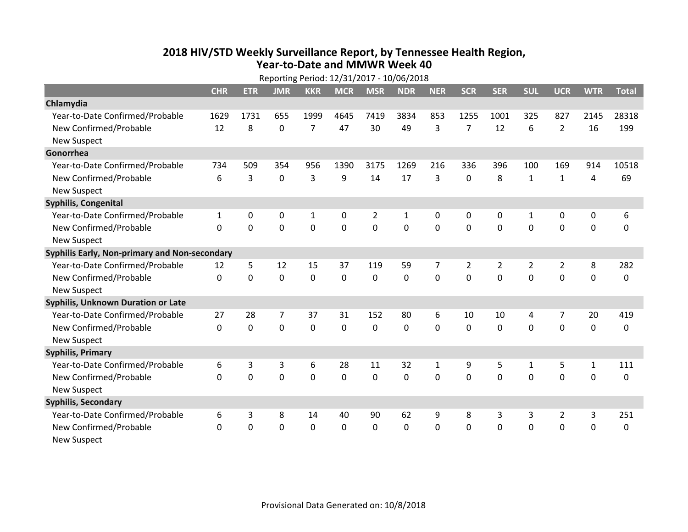## **2018 HIV /STD Weekly Surveillance Report, by Tennessee Health Region, Year‐to‐Date and MMWR Week 40**

| Reporting Period: 12/31/2017 - 10/06/2018     |              |                |                |                |            |              |             |             |                |              |                |                |              |              |
|-----------------------------------------------|--------------|----------------|----------------|----------------|------------|--------------|-------------|-------------|----------------|--------------|----------------|----------------|--------------|--------------|
|                                               | <b>CHR</b>   | <b>ETR</b>     | <b>JMR</b>     | <b>KKR</b>     | <b>MCR</b> | <b>MSR</b>   | <b>NDR</b>  | <b>NER</b>  | <b>SCR</b>     | <b>SER</b>   | <b>SUL</b>     | <b>UCR</b>     | <b>WTR</b>   | <b>Total</b> |
| Chlamydia                                     |              |                |                |                |            |              |             |             |                |              |                |                |              |              |
| Year-to-Date Confirmed/Probable               | 1629         | 1731           | 655            | 1999           | 4645       | 7419         | 3834        | 853         | 1255           | 1001         | 325            | 827            | 2145         | 28318        |
| New Confirmed/Probable                        | 12           | 8              | 0              | $\overline{7}$ | 47         | 30           | 49          | 3           | $\overline{7}$ | 12           | 6              | $\overline{2}$ | 16           | 199          |
| <b>New Suspect</b>                            |              |                |                |                |            |              |             |             |                |              |                |                |              |              |
| Gonorrhea                                     |              |                |                |                |            |              |             |             |                |              |                |                |              |              |
| Year-to-Date Confirmed/Probable               | 734          | 509            | 354            | 956            | 1390       | 3175         | 1269        | 216         | 336            | 396          | 100            | 169            | 914          | 10518        |
| New Confirmed/Probable                        | 6            | 3              | 0              | 3              | 9          | 14           | 17          | 3           | 0              | 8            | $\mathbf{1}$   | $\mathbf{1}$   | 4            | 69           |
| <b>New Suspect</b>                            |              |                |                |                |            |              |             |             |                |              |                |                |              |              |
| Syphilis, Congenital                          |              |                |                |                |            |              |             |             |                |              |                |                |              |              |
| Year-to-Date Confirmed/Probable               | 1            | 0              | 0              | 1              | 0          | 2            | 1           | 0           | 0              | 0            | 1              | 0              | 0            | 6            |
| New Confirmed/Probable                        | 0            | 0              | 0              | $\mathbf 0$    | 0          | $\mathbf 0$  | 0           | $\mathbf 0$ | $\Omega$       | $\Omega$     | $\mathbf 0$    | $\mathbf 0$    | $\mathbf 0$  | 0            |
| <b>New Suspect</b>                            |              |                |                |                |            |              |             |             |                |              |                |                |              |              |
| Syphilis Early, Non-primary and Non-secondary |              |                |                |                |            |              |             |             |                |              |                |                |              |              |
| Year-to-Date Confirmed/Probable               | 12           | 5              | 12             | 15             | 37         | 119          | 59          | 7           | 2              | 2            | $\overline{2}$ | $\overline{2}$ | 8            | 282          |
| New Confirmed/Probable                        | $\mathbf{0}$ | 0              | 0              | $\mathbf 0$    | 0          | 0            | $\mathbf 0$ | 0           | $\Omega$       | $\Omega$     | $\mathbf 0$    | $\mathbf 0$    | $\mathbf 0$  | 0            |
| <b>New Suspect</b>                            |              |                |                |                |            |              |             |             |                |              |                |                |              |              |
| Syphilis, Unknown Duration or Late            |              |                |                |                |            |              |             |             |                |              |                |                |              |              |
| Year-to-Date Confirmed/Probable               | 27           | 28             | $\overline{7}$ | 37             | 31         | 152          | 80          | 6           | 10             | 10           | 4              | 7              | 20           | 419          |
| New Confirmed/Probable                        | $\mathbf 0$  | 0              | 0              | 0              | 0          | $\mathbf 0$  | $\mathbf 0$ | $\Omega$    | $\Omega$       | $\Omega$     | $\Omega$       | 0              | $\mathbf 0$  | 0            |
| <b>New Suspect</b>                            |              |                |                |                |            |              |             |             |                |              |                |                |              |              |
| <b>Syphilis, Primary</b>                      |              |                |                |                |            |              |             |             |                |              |                |                |              |              |
| Year-to-Date Confirmed/Probable               | 6            | 3              | 3              | 6              | 28         | 11           | 32          | 1           | 9              | 5            | 1              | 5              | $\mathbf{1}$ | 111          |
| New Confirmed/Probable                        | $\Omega$     | $\overline{0}$ | 0              | $\mathbf 0$    | 0          | $\mathbf 0$  | $\mathbf 0$ | 0           | $\Omega$       | $\Omega$     | $\Omega$       | $\mathbf 0$    | $\mathbf 0$  | $\Omega$     |
| <b>New Suspect</b>                            |              |                |                |                |            |              |             |             |                |              |                |                |              |              |
| <b>Syphilis, Secondary</b>                    |              |                |                |                |            |              |             |             |                |              |                |                |              |              |
| Year-to-Date Confirmed/Probable               | 6            | 3              | 8              | 14             | 40         | 90           | 62          | 9           | 8              | 3            | 3              | $\overline{2}$ | 3            | 251          |
| New Confirmed/Probable                        | $\mathbf{0}$ | 0              | 0              | $\mathbf{0}$   | 0          | $\mathbf{0}$ | 0           | 0           | $\mathbf{0}$   | $\mathbf{0}$ | $\mathbf 0$    | $\mathbf 0$    | $\mathbf 0$  | 0            |
| <b>New Suspect</b>                            |              |                |                |                |            |              |             |             |                |              |                |                |              |              |